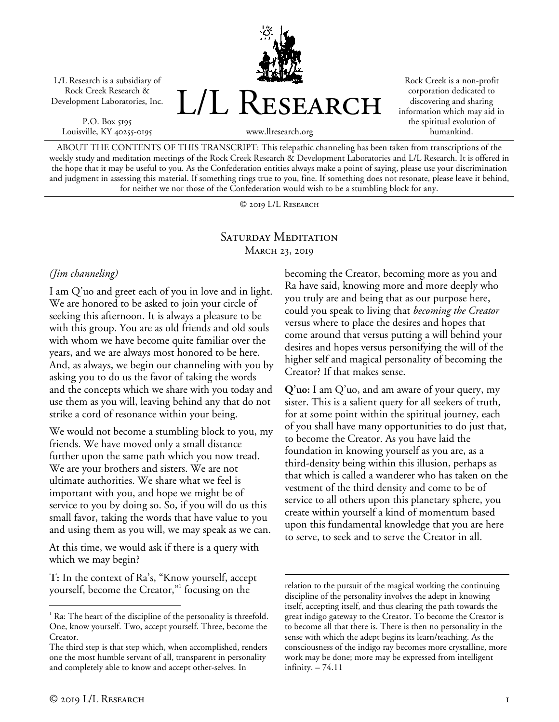L/L Research is a subsidiary of Rock Creek Research & Development Laboratories, Inc.

P.O. Box 5195 Louisville, KY 40255-0195



Rock Creek is a non-profit corporation dedicated to discovering and sharing information which may aid in the spiritual evolution of humankind.

www.llresearch.org

ABOUT THE CONTENTS OF THIS TRANSCRIPT: This telepathic channeling has been taken from transcriptions of the weekly study and meditation meetings of the Rock Creek Research & Development Laboratories and L/L Research. It is offered in the hope that it may be useful to you. As the Confederation entities always make a point of saying, please use your discrimination and judgment in assessing this material. If something rings true to you, fine. If something does not resonate, please leave it behind, for neither we nor those of the Confederation would wish to be a stumbling block for any.

© 2019 L/L Research

## SATURDAY MEDITATION MARCH 23, 2019

## *(Jim channeling)*

I am Q'uo and greet each of you in love and in light. We are honored to be asked to join your circle of seeking this afternoon. It is always a pleasure to be with this group. You are as old friends and old souls with whom we have become quite familiar over the years, and we are always most honored to be here. And, as always, we begin our channeling with you by asking you to do us the favor of taking the words and the concepts which we share with you today and use them as you will, leaving behind any that do not strike a cord of resonance within your being.

We would not become a stumbling block to you, my friends. We have moved only a small distance further upon the same path which you now tread. We are your brothers and sisters. We are not ultimate authorities. We share what we feel is important with you, and hope we might be of service to you by doing so. So, if you will do us this small favor, taking the words that have value to you and using them as you will, we may speak as we can.

At this time, we would ask if there is a query with which we may begin?

**T:** In the context of Ra's, "Know yourself, accept yourself, become the Creator,"<sup>1</sup> focusing on the

becoming the Creator, becoming more as you and Ra have said, knowing more and more deeply who you truly are and being that as our purpose here, could you speak to living that *becoming the Creator* versus where to place the desires and hopes that come around that versus putting a will behind your desires and hopes versus personifying the will of the higher self and magical personality of becoming the Creator? If that makes sense.

**Q'uo:** I am Q'uo, and am aware of your query, my sister. This is a salient query for all seekers of truth, for at some point within the spiritual journey, each of you shall have many opportunities to do just that, to become the Creator. As you have laid the foundation in knowing yourself as you are, as a third-density being within this illusion, perhaps as that which is called a wanderer who has taken on the vestment of the third density and come to be of service to all others upon this planetary sphere, you create within yourself a kind of momentum based upon this fundamental knowledge that you are here to serve, to seek and to serve the Creator in all.

 $\frac{1}{1}$  $\alpha$ <sup>1</sup> Ra: The heart of the discipline of the personality is threefold. One, know yourself. Two, accept yourself. Three, become the Creator.

The third step is that step which, when accomplished, renders one the most humble servant of all, transparent in personality and completely able to know and accept other-selves. In

relation to the pursuit of the magical working the continuing discipline of the personality involves the adept in knowing itself, accepting itself, and thus clearing the path towards the great indigo gateway to the Creator. To become the Creator is to become all that there is. There is then no personality in the sense with which the adept begins its learn/teaching. As the consciousness of the indigo ray becomes more crystalline, more work may be done; more may be expressed from intelligent infinity. – 74.11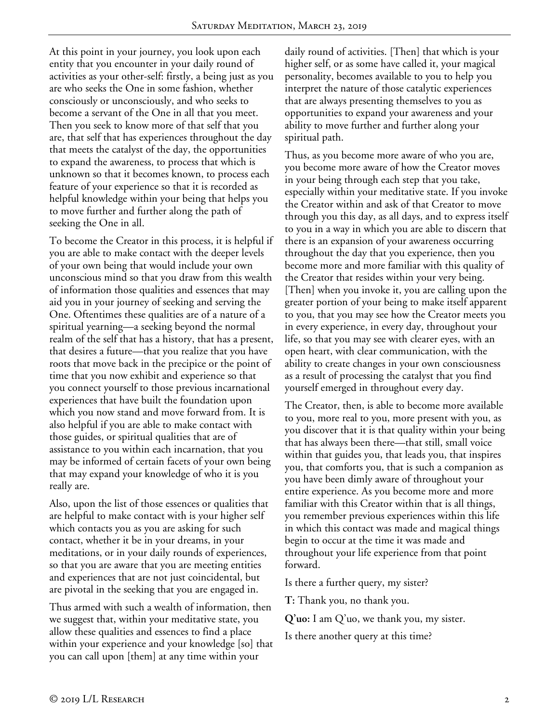At this point in your journey, you look upon each entity that you encounter in your daily round of activities as your other-self: firstly, a being just as you are who seeks the One in some fashion, whether consciously or unconsciously, and who seeks to become a servant of the One in all that you meet. Then you seek to know more of that self that you are, that self that has experiences throughout the day that meets the catalyst of the day, the opportunities to expand the awareness, to process that which is unknown so that it becomes known, to process each feature of your experience so that it is recorded as helpful knowledge within your being that helps you to move further and further along the path of seeking the One in all.

To become the Creator in this process, it is helpful if you are able to make contact with the deeper levels of your own being that would include your own unconscious mind so that you draw from this wealth of information those qualities and essences that may aid you in your journey of seeking and serving the One. Oftentimes these qualities are of a nature of a spiritual yearning—a seeking beyond the normal realm of the self that has a history, that has a present, that desires a future—that you realize that you have roots that move back in the precipice or the point of time that you now exhibit and experience so that you connect yourself to those previous incarnational experiences that have built the foundation upon which you now stand and move forward from. It is also helpful if you are able to make contact with those guides, or spiritual qualities that are of assistance to you within each incarnation, that you may be informed of certain facets of your own being that may expand your knowledge of who it is you really are.

Also, upon the list of those essences or qualities that are helpful to make contact with is your higher self which contacts you as you are asking for such contact, whether it be in your dreams, in your meditations, or in your daily rounds of experiences, so that you are aware that you are meeting entities and experiences that are not just coincidental, but are pivotal in the seeking that you are engaged in.

Thus armed with such a wealth of information, then we suggest that, within your meditative state, you allow these qualities and essences to find a place within your experience and your knowledge [so] that you can call upon [them] at any time within your

daily round of activities. [Then] that which is your higher self, or as some have called it, your magical personality, becomes available to you to help you interpret the nature of those catalytic experiences that are always presenting themselves to you as opportunities to expand your awareness and your ability to move further and further along your spiritual path.

Thus, as you become more aware of who you are, you become more aware of how the Creator moves in your being through each step that you take, especially within your meditative state. If you invoke the Creator within and ask of that Creator to move through you this day, as all days, and to express itself to you in a way in which you are able to discern that there is an expansion of your awareness occurring throughout the day that you experience, then you become more and more familiar with this quality of the Creator that resides within your very being. [Then] when you invoke it, you are calling upon the greater portion of your being to make itself apparent to you, that you may see how the Creator meets you in every experience, in every day, throughout your life, so that you may see with clearer eyes, with an open heart, with clear communication, with the ability to create changes in your own consciousness as a result of processing the catalyst that you find yourself emerged in throughout every day.

The Creator, then, is able to become more available to you, more real to you, more present with you, as you discover that it is that quality within your being that has always been there—that still, small voice within that guides you, that leads you, that inspires you, that comforts you, that is such a companion as you have been dimly aware of throughout your entire experience. As you become more and more familiar with this Creator within that is all things, you remember previous experiences within this life in which this contact was made and magical things begin to occur at the time it was made and throughout your life experience from that point forward.

Is there a further query, my sister?

**T:** Thank you, no thank you.

**Q'uo:** I am Q'uo, we thank you, my sister.

Is there another query at this time?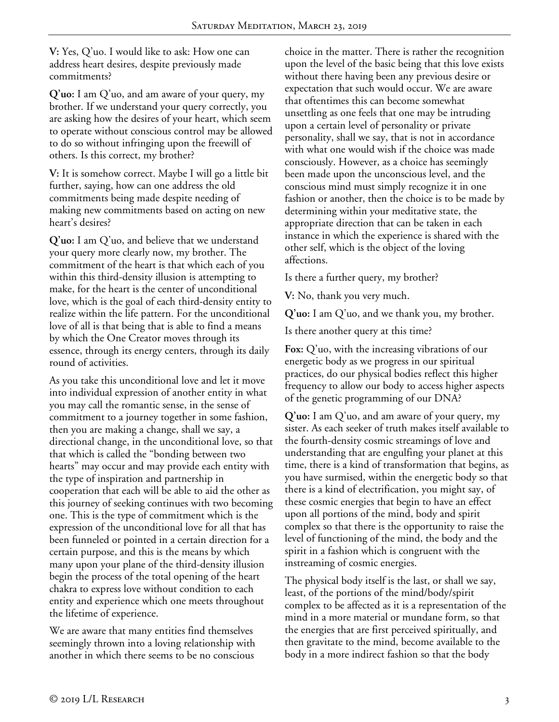**V:** Yes, Q'uo. I would like to ask: How one can address heart desires, despite previously made commitments?

**Q'uo:** I am Q'uo, and am aware of your query, my brother. If we understand your query correctly, you are asking how the desires of your heart, which seem to operate without conscious control may be allowed to do so without infringing upon the freewill of others. Is this correct, my brother?

**V:** It is somehow correct. Maybe I will go a little bit further, saying, how can one address the old commitments being made despite needing of making new commitments based on acting on new heart's desires?

**Q'uo:** I am Q'uo, and believe that we understand your query more clearly now, my brother. The commitment of the heart is that which each of you within this third-density illusion is attempting to make, for the heart is the center of unconditional love, which is the goal of each third-density entity to realize within the life pattern. For the unconditional love of all is that being that is able to find a means by which the One Creator moves through its essence, through its energy centers, through its daily round of activities.

As you take this unconditional love and let it move into individual expression of another entity in what you may call the romantic sense, in the sense of commitment to a journey together in some fashion, then you are making a change, shall we say, a directional change, in the unconditional love, so that that which is called the "bonding between two hearts" may occur and may provide each entity with the type of inspiration and partnership in cooperation that each will be able to aid the other as this journey of seeking continues with two becoming one. This is the type of commitment which is the expression of the unconditional love for all that has been funneled or pointed in a certain direction for a certain purpose, and this is the means by which many upon your plane of the third-density illusion begin the process of the total opening of the heart chakra to express love without condition to each entity and experience which one meets throughout the lifetime of experience.

We are aware that many entities find themselves seemingly thrown into a loving relationship with another in which there seems to be no conscious

choice in the matter. There is rather the recognition upon the level of the basic being that this love exists without there having been any previous desire or expectation that such would occur. We are aware that oftentimes this can become somewhat unsettling as one feels that one may be intruding upon a certain level of personality or private personality, shall we say, that is not in accordance with what one would wish if the choice was made consciously. However, as a choice has seemingly been made upon the unconscious level, and the conscious mind must simply recognize it in one fashion or another, then the choice is to be made by determining within your meditative state, the appropriate direction that can be taken in each instance in which the experience is shared with the other self, which is the object of the loving affections.

Is there a further query, my brother?

**V:** No, thank you very much.

**Q'uo:** I am Q'uo, and we thank you, my brother.

Is there another query at this time?

**Fox:** Q'uo, with the increasing vibrations of our energetic body as we progress in our spiritual practices, do our physical bodies reflect this higher frequency to allow our body to access higher aspects of the genetic programming of our DNA?

**Q'uo:** I am Q'uo, and am aware of your query, my sister. As each seeker of truth makes itself available to the fourth-density cosmic streamings of love and understanding that are engulfing your planet at this time, there is a kind of transformation that begins, as you have surmised, within the energetic body so that there is a kind of electrification, you might say, of these cosmic energies that begin to have an effect upon all portions of the mind, body and spirit complex so that there is the opportunity to raise the level of functioning of the mind, the body and the spirit in a fashion which is congruent with the instreaming of cosmic energies.

The physical body itself is the last, or shall we say, least, of the portions of the mind/body/spirit complex to be affected as it is a representation of the mind in a more material or mundane form, so that the energies that are first perceived spiritually, and then gravitate to the mind, become available to the body in a more indirect fashion so that the body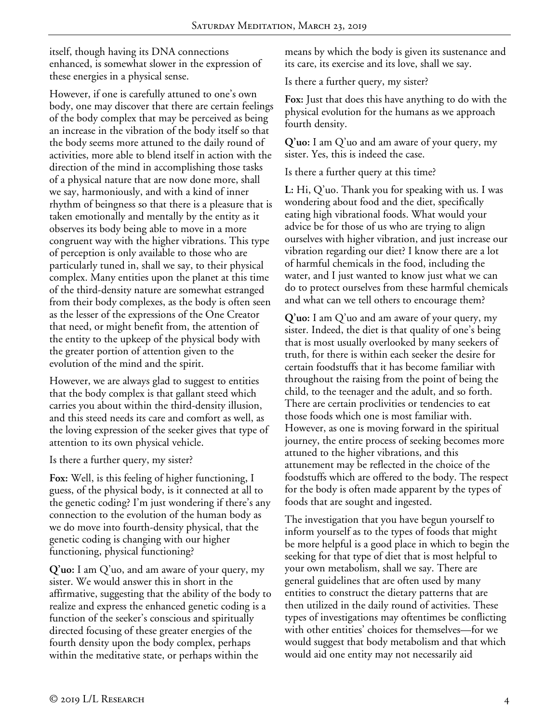itself, though having its DNA connections enhanced, is somewhat slower in the expression of these energies in a physical sense.

However, if one is carefully attuned to one's own body, one may discover that there are certain feelings of the body complex that may be perceived as being an increase in the vibration of the body itself so that the body seems more attuned to the daily round of activities, more able to blend itself in action with the direction of the mind in accomplishing those tasks of a physical nature that are now done more, shall we say, harmoniously, and with a kind of inner rhythm of beingness so that there is a pleasure that is taken emotionally and mentally by the entity as it observes its body being able to move in a more congruent way with the higher vibrations. This type of perception is only available to those who are particularly tuned in, shall we say, to their physical complex. Many entities upon the planet at this time of the third-density nature are somewhat estranged from their body complexes, as the body is often seen as the lesser of the expressions of the One Creator that need, or might benefit from, the attention of the entity to the upkeep of the physical body with the greater portion of attention given to the evolution of the mind and the spirit.

However, we are always glad to suggest to entities that the body complex is that gallant steed which carries you about within the third-density illusion, and this steed needs its care and comfort as well, as the loving expression of the seeker gives that type of attention to its own physical vehicle.

Is there a further query, my sister?

**Fox:** Well, is this feeling of higher functioning, I guess, of the physical body, is it connected at all to the genetic coding? I'm just wondering if there's any connection to the evolution of the human body as we do move into fourth-density physical, that the genetic coding is changing with our higher functioning, physical functioning?

**Q'uo:** I am Q'uo, and am aware of your query, my sister. We would answer this in short in the affirmative, suggesting that the ability of the body to realize and express the enhanced genetic coding is a function of the seeker's conscious and spiritually directed focusing of these greater energies of the fourth density upon the body complex, perhaps within the meditative state, or perhaps within the

means by which the body is given its sustenance and its care, its exercise and its love, shall we say.

Is there a further query, my sister?

**Fox:** Just that does this have anything to do with the physical evolution for the humans as we approach fourth density.

**Q'uo:** I am Q'uo and am aware of your query, my sister. Yes, this is indeed the case.

Is there a further query at this time?

**L:** Hi, Q'uo. Thank you for speaking with us. I was wondering about food and the diet, specifically eating high vibrational foods. What would your advice be for those of us who are trying to align ourselves with higher vibration, and just increase our vibration regarding our diet? I know there are a lot of harmful chemicals in the food, including the water, and I just wanted to know just what we can do to protect ourselves from these harmful chemicals and what can we tell others to encourage them?

**Q'uo:** I am Q'uo and am aware of your query, my sister. Indeed, the diet is that quality of one's being that is most usually overlooked by many seekers of truth, for there is within each seeker the desire for certain foodstuffs that it has become familiar with throughout the raising from the point of being the child, to the teenager and the adult, and so forth. There are certain proclivities or tendencies to eat those foods which one is most familiar with. However, as one is moving forward in the spiritual journey, the entire process of seeking becomes more attuned to the higher vibrations, and this attunement may be reflected in the choice of the foodstuffs which are offered to the body. The respect for the body is often made apparent by the types of foods that are sought and ingested.

The investigation that you have begun yourself to inform yourself as to the types of foods that might be more helpful is a good place in which to begin the seeking for that type of diet that is most helpful to your own metabolism, shall we say. There are general guidelines that are often used by many entities to construct the dietary patterns that are then utilized in the daily round of activities. These types of investigations may oftentimes be conflicting with other entities' choices for themselves—for we would suggest that body metabolism and that which would aid one entity may not necessarily aid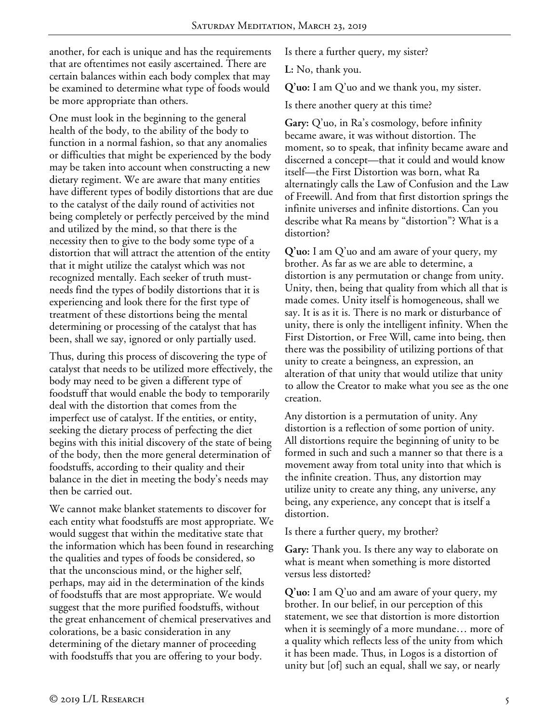another, for each is unique and has the requirements that are oftentimes not easily ascertained. There are certain balances within each body complex that may be examined to determine what type of foods would be more appropriate than others.

One must look in the beginning to the general health of the body, to the ability of the body to function in a normal fashion, so that any anomalies or difficulties that might be experienced by the body may be taken into account when constructing a new dietary regiment. We are aware that many entities have different types of bodily distortions that are due to the catalyst of the daily round of activities not being completely or perfectly perceived by the mind and utilized by the mind, so that there is the necessity then to give to the body some type of a distortion that will attract the attention of the entity that it might utilize the catalyst which was not recognized mentally. Each seeker of truth mustneeds find the types of bodily distortions that it is experiencing and look there for the first type of treatment of these distortions being the mental determining or processing of the catalyst that has been, shall we say, ignored or only partially used.

Thus, during this process of discovering the type of catalyst that needs to be utilized more effectively, the body may need to be given a different type of foodstuff that would enable the body to temporarily deal with the distortion that comes from the imperfect use of catalyst. If the entities, or entity, seeking the dietary process of perfecting the diet begins with this initial discovery of the state of being of the body, then the more general determination of foodstuffs, according to their quality and their balance in the diet in meeting the body's needs may then be carried out.

We cannot make blanket statements to discover for each entity what foodstuffs are most appropriate. We would suggest that within the meditative state that the information which has been found in researching the qualities and types of foods be considered, so that the unconscious mind, or the higher self, perhaps, may aid in the determination of the kinds of foodstuffs that are most appropriate. We would suggest that the more purified foodstuffs, without the great enhancement of chemical preservatives and colorations, be a basic consideration in any determining of the dietary manner of proceeding with foodstuffs that you are offering to your body.

Is there a further query, my sister?

**L:** No, thank you.

**Q'uo:** I am Q'uo and we thank you, my sister.

Is there another query at this time?

**Gary:** Q'uo, in Ra's cosmology, before infinity became aware, it was without distortion. The moment, so to speak, that infinity became aware and discerned a concept—that it could and would know itself—the First Distortion was born, what Ra alternatingly calls the Law of Confusion and the Law of Freewill. And from that first distortion springs the infinite universes and infinite distortions. Can you describe what Ra means by "distortion"? What is a distortion?

**Q'uo:** I am Q'uo and am aware of your query, my brother. As far as we are able to determine, a distortion is any permutation or change from unity. Unity, then, being that quality from which all that is made comes. Unity itself is homogeneous, shall we say. It is as it is. There is no mark or disturbance of unity, there is only the intelligent infinity. When the First Distortion, or Free Will, came into being, then there was the possibility of utilizing portions of that unity to create a beingness, an expression, an alteration of that unity that would utilize that unity to allow the Creator to make what you see as the one creation.

Any distortion is a permutation of unity. Any distortion is a reflection of some portion of unity. All distortions require the beginning of unity to be formed in such and such a manner so that there is a movement away from total unity into that which is the infinite creation. Thus, any distortion may utilize unity to create any thing, any universe, any being, any experience, any concept that is itself a distortion.

Is there a further query, my brother?

**Gary:** Thank you. Is there any way to elaborate on what is meant when something is more distorted versus less distorted?

**Q'uo:** I am Q'uo and am aware of your query, my brother. In our belief, in our perception of this statement, we see that distortion is more distortion when it is seemingly of a more mundane… more of a quality which reflects less of the unity from which it has been made. Thus, in Logos is a distortion of unity but [of] such an equal, shall we say, or nearly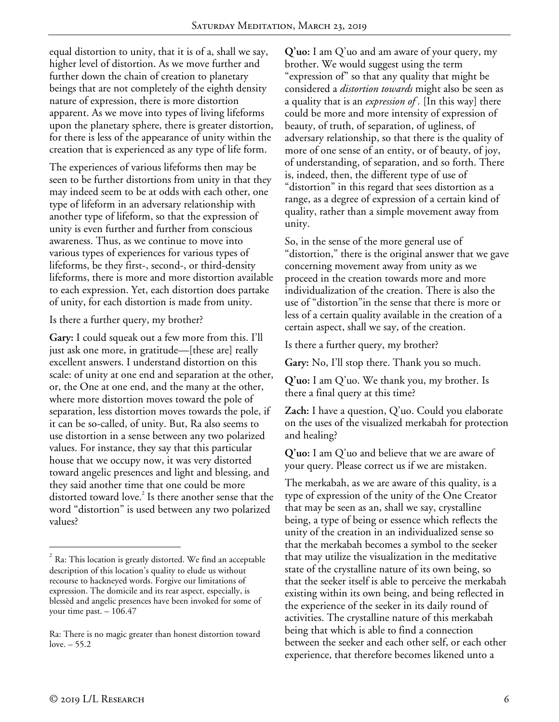equal distortion to unity, that it is of a, shall we say, higher level of distortion. As we move further and further down the chain of creation to planetary beings that are not completely of the eighth density nature of expression, there is more distortion apparent. As we move into types of living lifeforms upon the planetary sphere, there is greater distortion, for there is less of the appearance of unity within the creation that is experienced as any type of life form.

The experiences of various lifeforms then may be seen to be further distortions from unity in that they may indeed seem to be at odds with each other, one type of lifeform in an adversary relationship with another type of lifeform, so that the expression of unity is even further and further from conscious awareness. Thus, as we continue to move into various types of experiences for various types of lifeforms, be they first-, second-, or third-density lifeforms, there is more and more distortion available to each expression. Yet, each distortion does partake of unity, for each distortion is made from unity.

Is there a further query, my brother?

**Gary:** I could squeak out a few more from this. I'll just ask one more, in gratitude—[these are] really excellent answers. I understand distortion on this scale: of unity at one end and separation at the other, or, the One at one end, and the many at the other, where more distortion moves toward the pole of separation, less distortion moves towards the pole, if it can be so-called, of unity. But, Ra also seems to use distortion in a sense between any two polarized values. For instance, they say that this particular house that we occupy now, it was very distorted toward angelic presences and light and blessing, and they said another time that one could be more distorted toward love.<sup>2</sup> Is there another sense that the word "distortion" is used between any two polarized values?

**Q'uo:** I am Q'uo and am aware of your query, my brother. We would suggest using the term "expression of" so that any quality that might be considered a *distortion towards* might also be seen as a quality that is an *expression of .* [In this way] there could be more and more intensity of expression of beauty, of truth, of separation, of ugliness, of adversary relationship, so that there is the quality of more of one sense of an entity, or of beauty, of joy, of understanding, of separation, and so forth. There is, indeed, then, the different type of use of "distortion" in this regard that sees distortion as a range, as a degree of expression of a certain kind of quality, rather than a simple movement away from unity.

So, in the sense of the more general use of "distortion," there is the original answer that we gave concerning movement away from unity as we proceed in the creation towards more and more individualization of the creation. There is also the use of "distortion"in the sense that there is more or less of a certain quality available in the creation of a certain aspect, shall we say, of the creation.

Is there a further query, my brother?

**Gary:** No, I'll stop there. Thank you so much.

**Q'uo:** I am Q'uo. We thank you, my brother. Is there a final query at this time?

**Zach:** I have a question, Q'uo. Could you elaborate on the uses of the visualized merkabah for protection and healing?

**Q'uo:** I am Q'uo and believe that we are aware of your query. Please correct us if we are mistaken.

The merkabah, as we are aware of this quality, is a type of expression of the unity of the One Creator that may be seen as an, shall we say, crystalline being, a type of being or essence which reflects the unity of the creation in an individualized sense so that the merkabah becomes a symbol to the seeker that may utilize the visualization in the meditative state of the crystalline nature of its own being, so that the seeker itself is able to perceive the merkabah existing within its own being, and being reflected in the experience of the seeker in its daily round of activities. The crystalline nature of this merkabah being that which is able to find a connection between the seeker and each other self, or each other experience, that therefore becomes likened unto a

 $\frac{1}{2}$  $\overline{a}$  Ra: This location is greatly distorted. We find an acceptable description of this location's quality to elude us without recourse to hackneyed words. Forgive our limitations of expression. The domicile and its rear aspect, especially, is blessèd and angelic presences have been invoked for some of your time past. – 106.47

Ra: There is no magic greater than honest distortion toward love. – 55.2